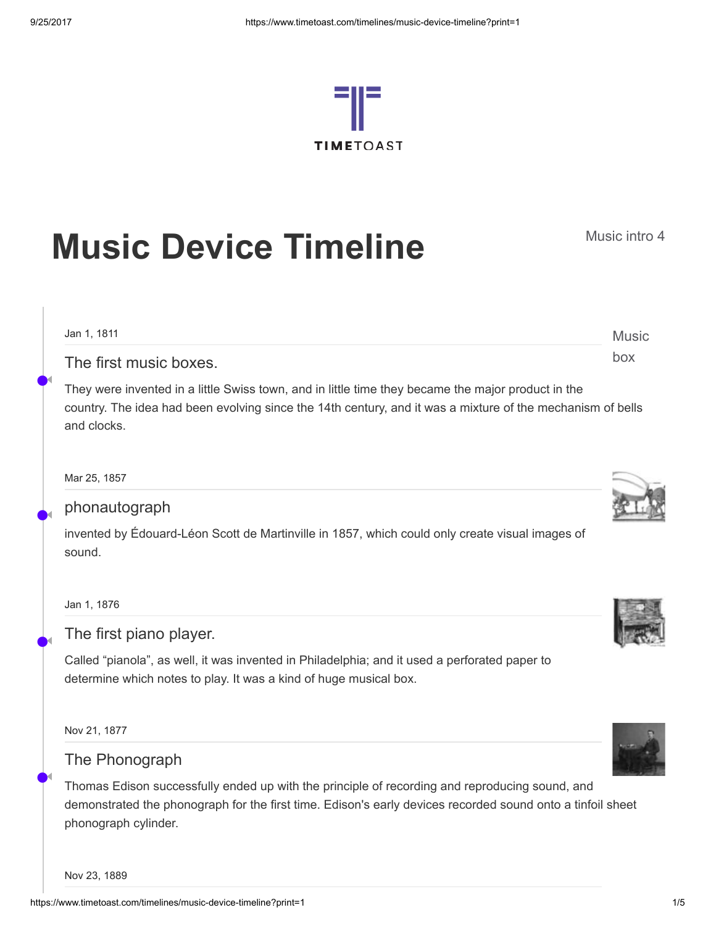

# **Music Device Timeline** Music intro 4

Music box Jan 1, 1811 The first music boxes.

They were invented in a little Swiss town, and in little time they became the major product in the country. The idea had been evolving since the 14th century, and it was a mixture of the mechanism of bells and clocks.

Mar 25, 1857

•

◀

•

◀

•

◀

•

◀

# phonautograph

invented by Édouard-Léon Scott de Martinville in 1857, which could only create visual images of sound.

Jan 1, 1876

## The first piano player.

Called "pianola", as well, it was invented in Philadelphia; and it used a perforated paper to determine which notes to play. It was a kind of huge musical box.

Nov 21, 1877

## The Phonograph

Thomas Edison successfully ended up with the principle of recording and reproducing sound, and demonstrated the phonograph for the first time. Edison's early devices recorded sound onto a tinfoil sheet phonograph cylinder.

Nov 23, 1889



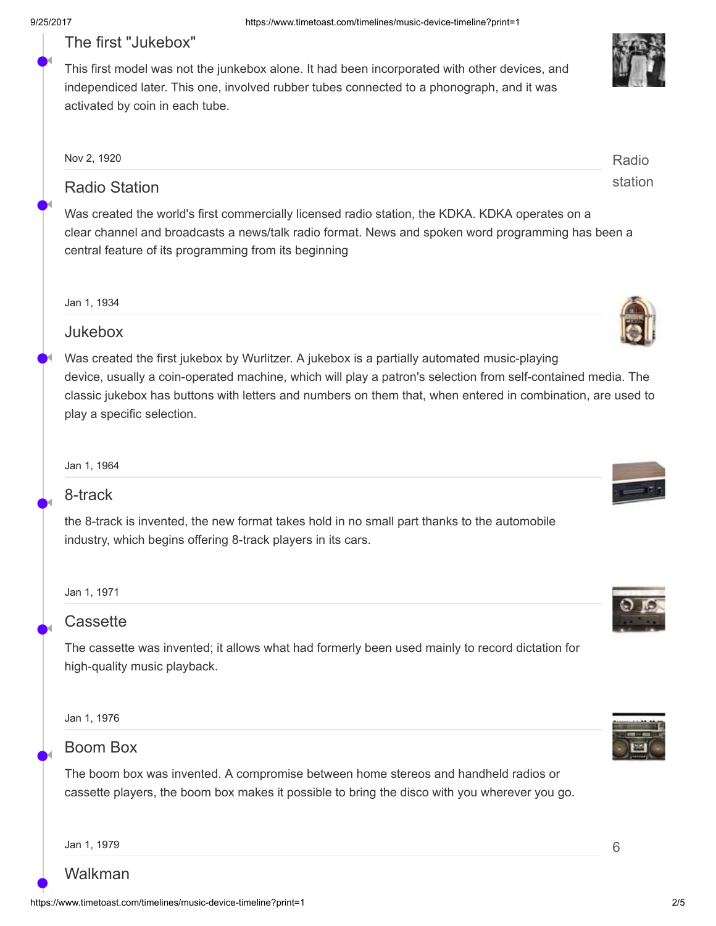•

◀

•

◀

•

◀

•

◀

•

◀

•

◀

# The first "Jukebox"

This first model was not the junkebox alone. It had been incorporated with other devices, and independiced later. This one, involved rubber tubes connected to a phonograph, and it was activated by coin in each tube.

| Nov 2, 1920          | Radio   |
|----------------------|---------|
| <b>Radio Station</b> | station |

Was created the world's first commercially licensed radio station, the KDKA. KDKA operates on a clear channel and broadcasts a news/talk radio format. News and spoken word programming has been a central feature of its programming from its beginning

#### Jan 1, 1934

### Jukebox

Was created the first jukebox by Wurlitzer. A jukebox is a partially automated music-playing device, usually a coin-operated machine, which will play a patron's selection from self-contained media. The classic jukebox has buttons with letters and numbers on them that, when entered in combination, are used to play a specific selection.

Jan 1, 1964

## 8-track

the 8-track is invented, the new format takes hold in no small part thanks to the automobile industry, which begins offering 8-track players in its cars.

#### Jan 1, 1971

## **Cassette**

The cassette was invented; it allows what had formerly been used mainly to record dictation for high-quality music playback.

Jan 1, 1976

# Boom Box

The boom box was invented. A compromise between home stereos and handheld radios or cassette players, the boom box makes it possible to bring the disco with you wherever you go.

Walkman







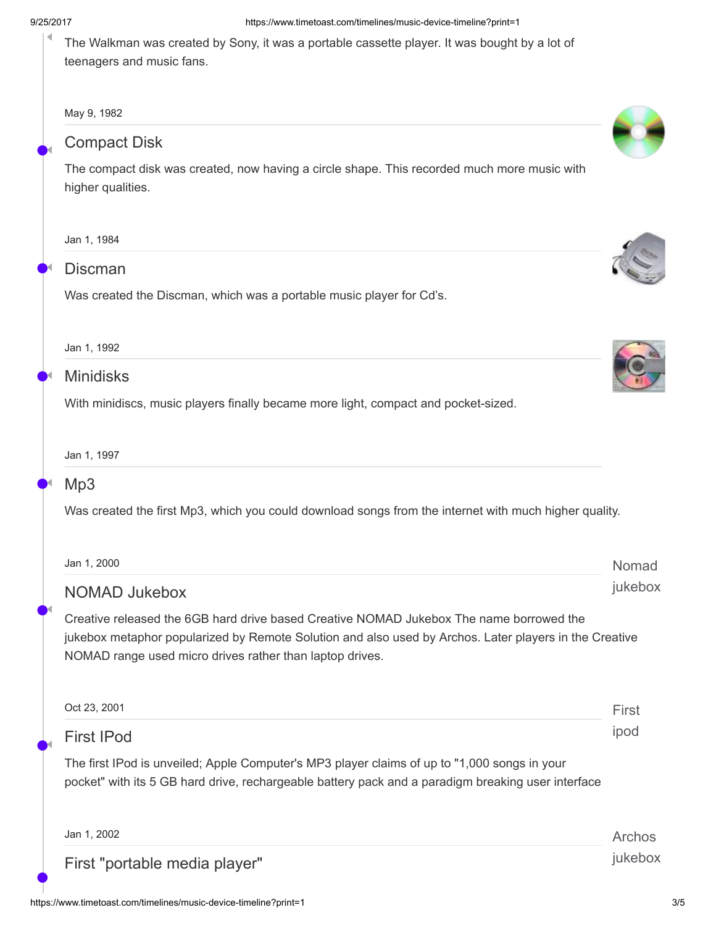#### 9/25/2017

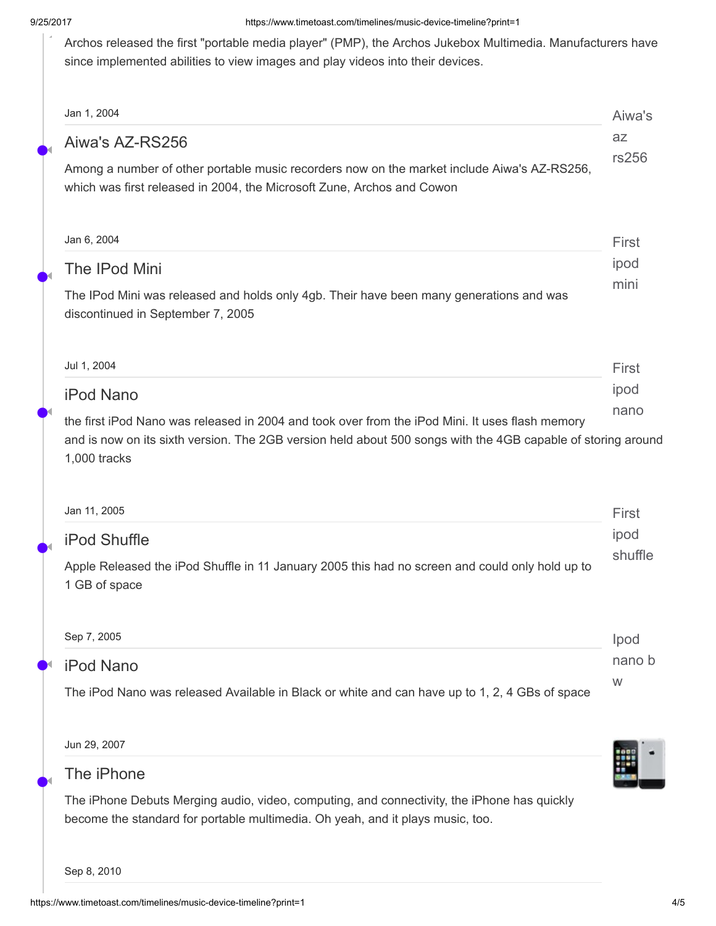Archos released the first "portable media player" (PMP), the Archos Jukebox Multimedia. Manufacturers have since implemented abilities to view images and play videos into their devices.

|                                                                                                                                                                                                                                 | Aiwa's<br><b>az</b> |
|---------------------------------------------------------------------------------------------------------------------------------------------------------------------------------------------------------------------------------|---------------------|
| Aiwa's AZ-RS256                                                                                                                                                                                                                 | rs256               |
| Among a number of other portable music recorders now on the market include Aiwa's AZ-RS256,<br>which was first released in 2004, the Microsoft Zune, Archos and Cowon                                                           |                     |
| Jan 6, 2004                                                                                                                                                                                                                     | First               |
| <b>The IPod Mini</b>                                                                                                                                                                                                            | ipod                |
| The IPod Mini was released and holds only 4gb. Their have been many generations and was<br>discontinued in September 7, 2005                                                                                                    | mini                |
| Jul 1, 2004                                                                                                                                                                                                                     | First               |
| <b>iPod Nano</b>                                                                                                                                                                                                                | ipod                |
| the first iPod Nano was released in 2004 and took over from the iPod Mini. It uses flash memory<br>and is now on its sixth version. The 2GB version held about 500 songs with the 4GB capable of storing around<br>1,000 tracks | nano                |
|                                                                                                                                                                                                                                 |                     |
| Jan 11, 2005                                                                                                                                                                                                                    | First               |
|                                                                                                                                                                                                                                 | ipod                |
| <b>iPod Shuffle</b><br>Apple Released the iPod Shuffle in 11 January 2005 this had no screen and could only hold up to<br>1 GB of space                                                                                         | shuffle             |
|                                                                                                                                                                                                                                 | Ipod                |
| Sep 7, 2005<br><b>iPod Nano</b>                                                                                                                                                                                                 | nano b<br>W         |



The iPhone Debuts Merging audio, video, computing, and connectivity, the iPhone has quickly become the standard for portable multimedia. Oh yeah, and it plays music, too.

Sep 8, 2010